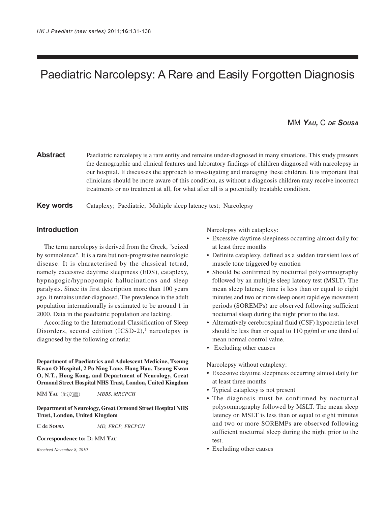# Paediatric Narcolepsy: A Rare and Easily Forgotten Diagnosis

# MM *YAU,* C *DE SOUSA*

Abstract Paediatric narcolepsy is a rare entity and remains under-diagnosed in many situations. This study presents the demographic and clinical features and laboratory findings of children diagnosed with narcolepsy in our hospital. It discusses the approach to investigating and managing these children. It is important that clinicians should be more aware of this condition, as without a diagnosis children may receive incorrect treatments or no treatment at all, for what after all is a potentially treatable condition.

## **Key words** Cataplexy; Paediatric; Multiple sleep latency test; Narcolepsy

## **Introduction**

The term narcolepsy is derived from the Greek, "seized by somnolence". It is a rare but non-progressive neurologic disease. It is characterised by the classical tetrad, namely excessive daytime sleepiness (EDS), cataplexy, hypnagogic/hypnopompic hallucinations and sleep paralysis. Since its first description more than 100 years ago, it remains under-diagnosed. The prevalence in the adult population internationally is estimated to be around 1 in 2000. Data in the paediatric population are lacking.

According to the International Classification of Sleep Disorders, second edition  $(ICSD-2)$ ,<sup>1</sup> narcolepsy is diagnosed by the following criteria:

**Department of Paediatrics and Adolescent Medicine, Tseung Kwan O Hospital, 2 Po Ning Lane, Hang Hau, Tseung Kwan O, N.T., Hong Kong, and Department of Neurology, Great Ormond Street Hospital NHS Trust, London, United Kingdom**

MM **YAU** *MBBS, MRCPCH*

**Department of Neurology, Great Ormond Street Hospital NHS Trust, London, United Kingdom**

C de **SOUSA** *MD, FRCP, FRCPCH*

#### **Correspondence to:** Dr MM **YAU**

*Received November 8, 2010*

Narcolepsy with cataplexy:

- Excessive daytime sleepiness occurring almost daily for at least three months
- Definite cataplexy, defined as a sudden transient loss of muscle tone triggered by emotion
- Should be confirmed by nocturnal polysomnography followed by an multiple sleep latency test (MSLT). The mean sleep latency time is less than or equal to eight minutes and two or more sleep onset rapid eye movement periods (SOREMPs) are observed following sufficient nocturnal sleep during the night prior to the test.
- Alternatively cerebrospinal fluid (CSF) hypocretin level should be less than or equal to 110 pg/ml or one third of mean normal control value.
- Excluding other causes

Narcolepsy without cataplexy:

- Excessive daytime sleepiness occurring almost daily for at least three months
- Typical cataplexy is not present
- The diagnosis must be confirmed by nocturnal polysomnography followed by MSLT. The mean sleep latency on MSLT is less than or equal to eight minutes and two or more SOREMPs are observed following sufficient nocturnal sleep during the night prior to the test.
- Excluding other causes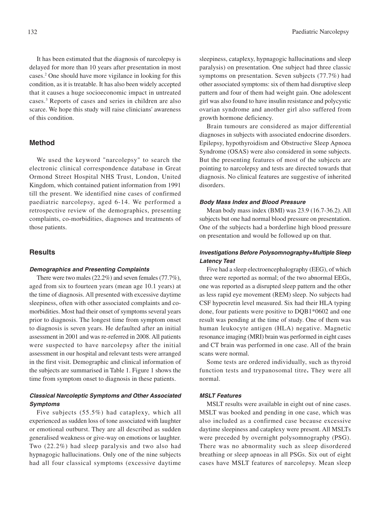It has been estimated that the diagnosis of narcolepsy is delayed for more than 10 years after presentation in most cases.2 One should have more vigilance in looking for this condition, as it is treatable. It has also been widely accepted that it causes a huge socioeconomic impact in untreated cases.3 Reports of cases and series in children are also scarce. We hope this study will raise clinicians' awareness of this condition.

## **Method**

We used the keyword "narcolepsy" to search the electronic clinical correspondence database in Great Ormond Street Hospital NHS Trust, London, United Kingdom, which contained patient information from 1991 till the present. We identified nine cases of confirmed paediatric narcolepsy, aged 6-14. We performed a retrospective review of the demographics, presenting complaints, co-morbidities, diagnoses and treatments of those patients.

## **Results**

#### **Demographics and Presenting Complaints**

There were two males (22.2%) and seven females (77.7%), aged from six to fourteen years (mean age 10.1 years) at the time of diagnosis. All presented with excessive daytime sleepiness, often with other associated complaints and comorbidities. Most had their onset of symptoms several years prior to diagnosis. The longest time from symptom onset to diagnosis is seven years. He defaulted after an initial assessment in 2001 and was re-referred in 2008. All patients were suspected to have narcolepsy after the initial assessment in our hospital and relevant tests were arranged in the first visit. Demographic and clinical information of the subjects are summarised in Table 1. Figure 1 shows the time from symptom onset to diagnosis in these patients.

# **Classical Narcoleptic Symptoms and Other Associated Symptoms**

Five subjects (55.5%) had cataplexy, which all experienced as sudden loss of tone associated with laughter or emotional outburst. They are all described as sudden generalised weakness or give-way on emotions or laughter. Two (22.2%) had sleep paralysis and two also had hypnagogic hallucinations. Only one of the nine subjects had all four classical symptoms (excessive daytime

sleepiness, cataplexy, hypnagogic hallucinations and sleep paralysis) on presentation. One subject had three classic symptoms on presentation. Seven subjects (77.7%) had other associated symptoms: six of them had disruptive sleep pattern and four of them had weight gain. One adolescent girl was also found to have insulin resistance and polycystic ovarian syndrome and another girl also suffered from growth hormone deficiency.

Brain tumours are considered as major differential diagnoses in subjects with associated endocrine disorders. Epilepsy, hypothyroidism and Obstructive Sleep Apnoea Syndrome (OSAS) were also considered in some subjects. But the presenting features of most of the subjects are pointing to narcolepsy and tests are directed towards that diagnosis. No clinical features are suggestive of inherited disorders.

### **Body Mass Index and Blood Pressure**

Mean body mass index (BMI) was 23.9 (16.7-36.2). All subjects but one had normal blood pressure on presentation. One of the subjects had a borderline high blood pressure on presentation and would be followed up on that.

# **Investigations Before Polysomnography+Multiple Sleep Latency Test**

Five had a sleep electroencephalography (EEG), of which three were reported as normal; of the two abnormal EEGs, one was reported as a disrupted sleep pattern and the other as less rapid eye movement (REM) sleep. No subjects had CSF hypocretin level measured. Six had their HLA typing done, four patients were positive to DQB1\*0602 and one result was pending at the time of study. One of them was human leukocyte antigen (HLA) negative. Magnetic resonance imaging (MRI) brain was performed in eight cases and CT brain was performed in one case. All of the brain scans were normal.

Some tests are ordered individually, such as thyroid function tests and trypanosomal titre**.** They were all normal.

#### **MSLT Features**

MSLT results were available in eight out of nine cases. MSLT was booked and pending in one case, which was also included as a confirmed case because excessive daytime sleepiness and cataplexy were present. All MSLTs were preceded by overnight polysomnography (PSG). There was no abnormality such as sleep disordered breathing or sleep apnoeas in all PSGs. Six out of eight cases have MSLT features of narcolepsy. Mean sleep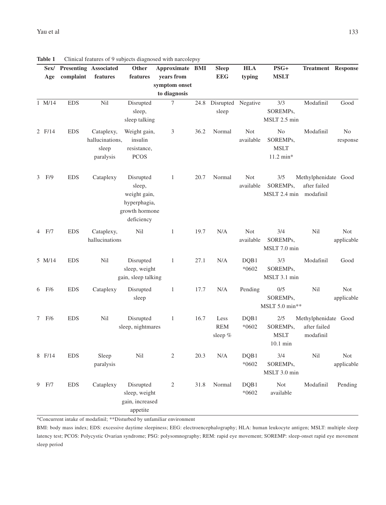|   | Sex/   |            | <b>Presenting Associated</b> | Other               | Approximate BMI |      | <b>Sleep</b> | <b>HLA</b> | $PSG+$              | <b>Treatment Response</b> |                |
|---|--------|------------|------------------------------|---------------------|-----------------|------|--------------|------------|---------------------|---------------------------|----------------|
|   | Age    | complaint  | features                     | features            | years from      |      | <b>EEG</b>   | typing     | <b>MSLT</b>         |                           |                |
|   |        |            |                              |                     | symptom onset   |      |              |            |                     |                           |                |
|   |        |            |                              |                     | to diagnosis    |      |              |            |                     |                           |                |
|   | 1 M/14 | <b>EDS</b> | Nil                          | Disrupted           | 7               | 24.8 | Disrupted    | Negative   | 3/3                 | Modafinil                 | Good           |
|   |        |            |                              | sleep,              |                 |      | sleep        |            | SOREMPs,            |                           |                |
|   |        |            |                              | sleep talking       |                 |      |              |            | MSLT 2.5 min        |                           |                |
|   | 2 F/14 | <b>EDS</b> | Cataplexy,                   | Weight gain,        | 3               | 36.2 | Normal       | Not        | No                  | Modafinil                 | N <sub>0</sub> |
|   |        |            | hallucinations,              | insulin             |                 |      |              | available  | SOREMPs,            |                           | response       |
|   |        |            | sleep                        | resistance,         |                 |      |              |            | <b>MSLT</b>         |                           |                |
|   |        |            | paralysis                    | <b>PCOS</b>         |                 |      |              |            | $11.2 \text{ min*}$ |                           |                |
|   |        |            |                              |                     |                 |      |              |            |                     |                           |                |
|   | 3 F/9  | <b>EDS</b> | Cataplexy                    | Disrupted           | $\mathbf{1}$    | 20.7 | Normal       | <b>Not</b> | 3/5                 | Methylphenidate Good      |                |
|   |        |            |                              | sleep,              |                 |      |              | available  | SOREMPs,            | after failed              |                |
|   |        |            |                              | weight gain,        |                 |      |              |            | MSLT 2.4 min        | modafinil                 |                |
|   |        |            |                              | hyperphagia,        |                 |      |              |            |                     |                           |                |
|   |        |            |                              | growth hormone      |                 |      |              |            |                     |                           |                |
|   |        |            |                              | deficiency          |                 |      |              |            |                     |                           |                |
|   | 4 F/7  | <b>EDS</b> | Cataplexy,                   | Nil                 | 1               | 19.7 | N/A          | Not        | 3/4                 | Nil                       | Not            |
|   |        |            | hallucinations               |                     |                 |      |              | available  | SOREMPs,            |                           | applicable     |
|   |        |            |                              |                     |                 |      |              |            | MSLT 7.0 min        |                           |                |
|   | 5 M/14 | <b>EDS</b> | Nil                          | Disrupted           | 1               | 27.1 | N/A          | DQB1       | 3/3                 | Modafinil                 | Good           |
|   |        |            |                              | sleep, weight       |                 |      |              | $*0602$    | SOREMPs,            |                           |                |
|   |        |            |                              | gain, sleep talking |                 |      |              |            | MSLT 3.1 min        |                           |                |
|   | 6 F/6  | <b>EDS</b> | Cataplexy                    | Disrupted           | 1               | 17.7 | N/A          | Pending    | 0/5                 | Nil                       | Not            |
|   |        |            |                              | sleep               |                 |      |              |            | SOREMPs,            |                           | applicable     |
|   |        |            |                              |                     |                 |      |              |            | MSLT 5.0 min**      |                           |                |
| 7 | F/6    | <b>EDS</b> | Nil                          | Disrupted           | $\mathbf{1}$    | 16.7 | Less         | DQB1       | $2/5$               | Methylphenidate Good      |                |
|   |        |            |                              | sleep, nightmares   |                 |      | <b>REM</b>   | $*0602$    | SOREMPs,            | after failed              |                |
|   |        |            |                              |                     |                 |      | sleep $%$    |            | <b>MSLT</b>         | modafinil                 |                |
|   |        |            |                              |                     |                 |      |              |            | $10.1 \text{ min}$  |                           |                |
|   | 8 F/14 | <b>EDS</b> | Sleep                        | Nil                 | 2               | 20.3 | N/A          | DQB1       | 3/4                 | Nil                       | Not            |
|   |        |            | paralysis                    |                     |                 |      |              | $*0602$    | SOREMPs,            |                           | applicable     |
|   |        |            |                              |                     |                 |      |              |            | MSLT 3.0 min        |                           |                |
|   | 9 F/7  | <b>EDS</b> | Cataplexy                    | Disrupted           | $\overline{c}$  | 31.8 | Normal       | DQB1       | <b>Not</b>          | Modafinil                 | Pending        |
|   |        |            |                              | sleep, weight       |                 |      |              | $*0602$    | available           |                           |                |
|   |        |            |                              | gain, increased     |                 |      |              |            |                     |                           |                |
|   |        |            |                              | appetite            |                 |      |              |            |                     |                           |                |
|   |        |            |                              |                     |                 |      |              |            |                     |                           |                |

**Table 1** Clinical features of 9 subjects diagnosed with narcolepsy

\*Concurrent intake of modafinil; \*\*Disturbed by unfamiliar environment

BMI: body mass index; EDS: excessive daytime sleepiness; EEG: electroencephalography; HLA: human leukocyte antigen; MSLT: multiple sleep latency test; PCOS: Polycystic Ovarian syndrome; PSG: polysomnography; REM: rapid eye movement; SOREMP: sleep-onset rapid eye movement sleep period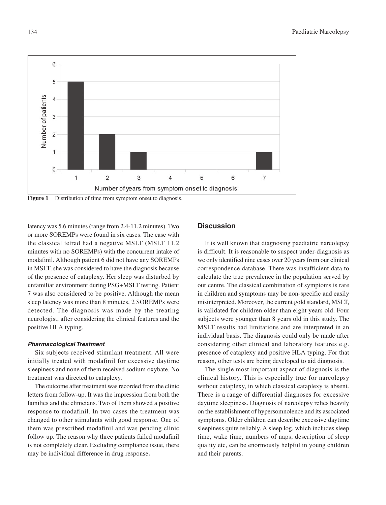

Figure 1 Distribution of time from symptom onset to diagnosis.

latency was 5.6 minutes (range from 2.4-11.2 minutes). Two or more SOREMPs were found in six cases. The case with the classical tetrad had a negative MSLT (MSLT 11.2 minutes with no SOREMPs) with the concurrent intake of modafinil. Although patient 6 did not have any SOREMPs in MSLT, she was considered to have the diagnosis because of the presence of cataplexy. Her sleep was disturbed by unfamiliar environment during PSG+MSLT testing. Patient 7 was also considered to be positive. Although the mean sleep latency was more than 8 minutes, 2 SOREMPs were detected. The diagnosis was made by the treating neurologist, after considering the clinical features and the positive HLA typing.

#### **Pharmacological Treatment**

Six subjects received stimulant treatment. All were initially treated with modafinil for excessive daytime sleepiness and none of them received sodium oxybate. No treatment was directed to cataplexy.

The outcome after treatment was recorded from the clinic letters from follow-up. It was the impression from both the families and the clinicians. Two of them showed a positive response to modafinil. In two cases the treatment was changed to other stimulants with good response. One of them was prescribed modafinil and was pending clinic follow up. The reason why three patients failed modafinil is not completely clear. Excluding compliance issue, there may be individual difference in drug response**.**

# **Discussion**

It is well known that diagnosing paediatric narcolepsy is difficult. It is reasonable to suspect under-diagnosis as we only identified nine cases over 20 years from our clinical correspondence database. There was insufficient data to calculate the true prevalence in the population served by our centre. The classical combination of symptoms is rare in children and symptoms may be non-specific and easily misinterpreted. Moreover, the current gold standard, MSLT, is validated for children older than eight years old. Four subjects were younger than 8 years old in this study. The MSLT results had limitations and are interpreted in an individual basis. The diagnosis could only be made after considering other clinical and laboratory features e.g. presence of cataplexy and positive HLA typing. For that reason, other tests are being developed to aid diagnosis.

The single most important aspect of diagnosis is the clinical history. This is especially true for narcolepsy without cataplexy, in which classical cataplexy is absent. There is a range of differential diagnoses for excessive daytime sleepiness. Diagnosis of narcolepsy relies heavily on the establishment of hypersomnolence and its associated symptoms. Older children can describe excessive daytime sleepiness quite reliably. A sleep log, which includes sleep time, wake time, numbers of naps, description of sleep quality etc, can be enormously helpful in young children and their parents.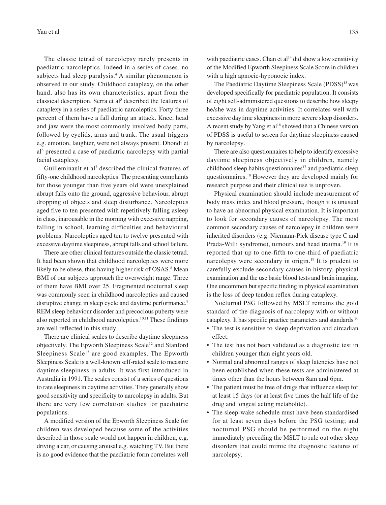The classic tetrad of narcolepsy rarely presents in paediatric narcoleptics. Indeed in a series of cases, no subjects had sleep paralysis.<sup>4</sup> A similar phenomenon is observed in our study. Childhood cataplexy, on the other hand, also has its own characteristics, apart from the classical description. Serra et al<sup>5</sup> described the features of cataplexy in a series of paediatric narcoleptics. Forty-three percent of them have a fall during an attack. Knee, head and jaw were the most commonly involved body parts, followed by eyelids, arms and trunk. The usual triggers e.g. emotion, laughter, were not always present. Dhondt et al6 presented a case of paediatric narcolepsy with partial facial cataplexy.

Guilleminault et al<sup>7</sup> described the clinical features of fifty-one childhood narcoleptics. The presenting complaints for those younger than five years old were unexplained abrupt falls onto the ground, aggressive behaviour, abrupt dropping of objects and sleep disturbance. Narcoleptics aged five to ten presented with repetitively falling asleep in class, inarousable in the morning with excessive napping, falling in school, learning difficulties and behavioural problems. Narcoleptics aged ten to twelve presented with excessive daytime sleepiness, abrupt falls and school failure.

There are other clinical features outside the classic tetrad. It had been shown that childhood narcoleptics were more likely to be obese, thus having higher risk of OSAS.<sup>8</sup> Mean BMI of our subjects approach the overweight range. Three of them have BMI over 25. Fragmented nocturnal sleep was commonly seen in childhood narcoleptics and caused disruptive change in sleep cycle and daytime performance.<sup>9</sup> REM sleep behaviour disorder and precocious puberty were also reported in childhood narcoleptics.10,11 These findings are well reflected in this study.

There are clinical scales to describe daytime sleepiness objectively. The Epworth Sleepiness Scale<sup>12</sup> and Stanford Sleepiness Scale<sup>13</sup> are good examples. The Epworth Sleepiness Scale is a well-known self-rated scale to measure daytime sleepiness in adults. It was first introduced in Australia in 1991. The scales consist of a series of questions to rate sleepiness in daytime activities. They generally show good sensitivity and specificity to narcolepsy in adults. But there are very few correlation studies for paediatric populations.

A modified version of the Epworth Sleepiness Scale for children was developed because some of the activities described in those scale would not happen in children, e.g. driving a car, or causing arousal e.g. watching TV. But there is no good evidence that the paediatric form correlates well with paediatric cases. Chan et  $al<sup>14</sup>$  did show a low sensitivity of the Modified Epworth Sleepiness Scale Score in children with a high apnoeic-hyponoeic index.

The Paediatric Daytime Sleepiness Scale (PDSS)<sup>15</sup> was developed specifically for paediatric population. It consists of eight self-administered questions to describe how sleepy he/she was in daytime activities. It correlates well with excessive daytime sleepiness in more severe sleep disorders. A recent study by Yang et al<sup>16</sup> showed that a Chinese version of PDSS is useful to screen for daytime sleepiness caused by narcolepsy.

There are also questionnaires to help to identify excessive daytime sleepiness objectively in children, namely childhood sleep habits questionnaires<sup>17</sup> and paediatric sleep questionnaires.18 However they are developed mainly for research purpose and their clinical use is unproven.

Physical examination should include measurement of body mass index and blood pressure, though it is unusual to have an abnormal physical examination. It is important to look for secondary causes of narcolepsy. The most common secondary causes of narcolepsy in children were inherited disorders (e.g. Niemann-Pick disease type C and Prada-Willi syndrome), tumours and head trauma.<sup>19</sup> It is reported that up to one-fifth to one-third of paediatric narcolepsy were secondary in origin.<sup>19</sup> It is prudent to carefully exclude secondary causes in history, physical examination and the use basic blood tests and brain imaging. One uncommon but specific finding in physical examination is the loss of deep tendon reflex during cataplexy.

Nocturnal PSG followed by MSLT remains the gold standard of the diagnosis of narcolepsy with or without cataplexy. It has specific practice parameters and standards.20

- The test is sensitive to sleep deprivation and circadian effect.
- The test has not been validated as a diagnostic test in children younger than eight years old.
- Normal and abnormal ranges of sleep latencies have not been established when these tests are administered at times other than the hours between 8am and 6pm.
- The patient must be free of drugs that influence sleep for at least 15 days (or at least five times the half life of the drug and longest acting metabolite).
- The sleep-wake schedule must have been standardised for at least seven days before the PSG testing; and nocturnal PSG should be performed on the night immediately preceding the MSLT to rule out other sleep disorders that could mimic the diagnostic features of narcolepsy.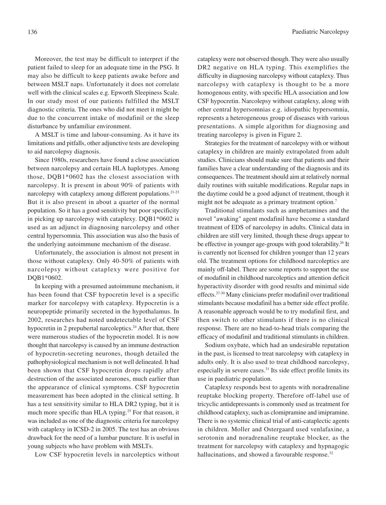Moreover, the test may be difficult to interpret if the patient failed to sleep for an adequate time in the PSG. It may also be difficult to keep patients awake before and between MSLT naps. Unfortunately it does not correlate well with the clinical scales e.g. Epworth Sleepiness Scale. In our study most of our patients fulfilled the MSLT diagnostic criteria. The ones who did not meet it might be due to the concurrent intake of modafinil or the sleep disturbance by unfamiliar environment.

A MSLT is time and labour-consuming. As it have its limitations and pitfalls, other adjunctive tests are developing to aid narcolepsy diagnosis.

Since 1980s, researchers have found a close association between narcolepsy and certain HLA haplotypes. Among those, DQB1\*0602 has the closest association with narcolepsy. It is present in about 90% of patients with narcolepsy with cataplexy among different populations.<sup>21-23</sup> But it is also present in about a quarter of the normal population. So it has a good sensitivity but poor specificity in picking up narcolepsy with cataplexy. DQB1\*0602 is used as an adjunct in diagnosing narcolepsy and other central hypersomnia. This association was also the basis of the underlying autoimmune mechanism of the disease.

Unfortunately, the association is almost not present in those without cataplexy. Only 40-50% of patients with narcolepsy without cataplexy were positive for DQB1\*0602.

In keeping with a presumed autoimmune mechanism, it has been found that CSF hypocretin level is a specific marker for narcolepsy with cataplexy. Hypocretin is a neuropeptide primarily secreted in the hypothalamus. In 2002, researches had noted undetectable level of CSF hypocretin in 2 prepubertal narcoleptics.<sup>24</sup> After that, there were numerous studies of the hypocretin model. It is now thought that narcolepsy is caused by an immune destruction of hypocretin-secreting neurones, though detailed the pathophysiological mechanism is not well delineated. It had been shown that CSF hypocretin drops rapidly after destruction of the associated neurones, much earlier than the appearance of clinical symptoms. CSF hypocretin measurement has been adopted in the clinical setting. It has a test sensitivity similar to HLA DR2 typing, but it is much more specific than HLA typing.<sup>25</sup> For that reason, it was included as one of the diagnostic criteria for narcolepsy with cataplexy in ICSD-2 in 2005. The test has an obvious drawback for the need of a lumbar puncture. It is useful in young subjects who have problem with MSLTs.

Low CSF hypocretin levels in narcoleptics without

cataplexy were not observed though. They were also usually DR2 negative on HLA typing. This exemplifies the difficulty in diagnosing narcolepsy without cataplexy. Thus narcolepsy with cataplexy is thought to be a more homogenous entity, with specific HLA association and low CSF hypocretin. Narcolepsy without cataplexy, along with other central hypersomnias e.g. idiopathic hypersomnia, represents a heterogeneous group of diseases with various presentations. A simple algorithm for diagnosing and treating narcolepsy is given in Figure 2.

Strategies for the treatment of narcolepsy with or without cataplexy in children are mainly extrapolated from adult studies. Clinicians should make sure that patients and their families have a clear understanding of the diagnosis and its consequences. The treatment should aim at relatively normal daily routines with suitable modifications. Regular naps in the daytime could be a good adjunct of treatment, though it might not be adequate as a primary treatment option.<sup>7</sup>

Traditional stimulants such as amphetamines and the novel "awaking" agent modafinil have become a standard treatment of EDS of narcolepsy in adults. Clinical data in children are still very limited, though these drugs appear to be effective in younger age-groups with good tolerability.<sup>26</sup> It is currently not licensed for children younger than 12 years old. The treatment options for childhood narcoleptics are mainly off-label. There are some reports to support the use of modafinil in childhood narcoleptics and attention deficit hyperactivity disorder with good results and minimal side effects.27-30 Many clinicians prefer modafinil over traditional stimulants because modafinil has a better side effect profile. A reasonable approach would be to try modafinil first, and then switch to other stimulants if there is no clinical response. There are no head-to-head trials comparing the efficacy of modafinil and traditional stimulants in children.

Sodium oxybate, which had an undesirable reputation in the past, is licensed to treat narcolepsy with cataplexy in adults only. It is also used to treat childhood narcolepsy, especially in severe cases.31 Its side effect profile limits its use in paediatric population.

Cataplexy responds best to agents with noradrenaline reuptake blocking property. Therefore off-label use of tricyclic antidepressants is commonly used as treatment for childhood cataplexy, such as clomipramine and imipramine. There is no systemic clinical trial of anti-cataplectic agents in children. Moller and Ostergaard used venlafaxine, a serotonin and noradrenaline reuptake blocker, as the treatment for narcolepsy with cataplexy and hypnagogic hallucinations, and showed a favourable response.<sup>32</sup>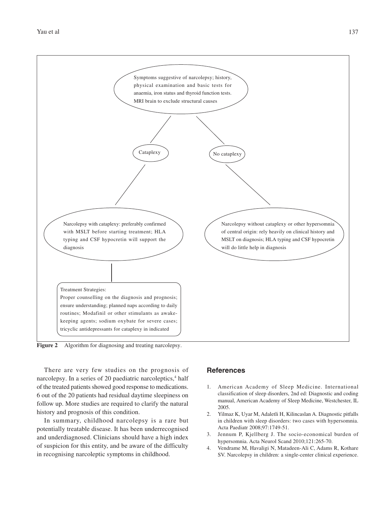

**Figure 2** Algorithm for diagnosing and treating narcolepsy.

There are very few studies on the prognosis of narcolepsy. In a series of 20 paediatric narcoleptics,<sup>4</sup> half of the treated patients showed good response to medications. 6 out of the 20 patients had residual daytime sleepiness on follow up. More studies are required to clarify the natural history and prognosis of this condition.

In summary, childhood narcolepsy is a rare but potentially treatable disease. It has been underrecognised and underdiagnosed. Clinicians should have a high index of suspicion for this entity, and be aware of the difficulty in recognising narcoleptic symptoms in childhood.

## **References**

- 1. American Academy of Sleep Medicine. International classification of sleep disorders, 2nd ed: Diagnostic and coding manual, American Academy of Sleep Medicine, Westchester, IL 2005.
- 2. Yilmaz K, Uyar M, Adaletli H, Kilincaslan A. Diagnostic pitfalls in children with sleep disorders: two cases with hypersomnia. Acta Paediatr 2008;97:1749-51.
- 3. Jennum P, Kjellberg J. The socio-economical burden of hypersomnia. Acta Neurol Scand 2010;121:265-70.
- 4. Vendrame M, Havaligi N, Matadeen-Ali C, Adams R, Kothare SV. Narcolepsy in children: a single-center clinical experience.